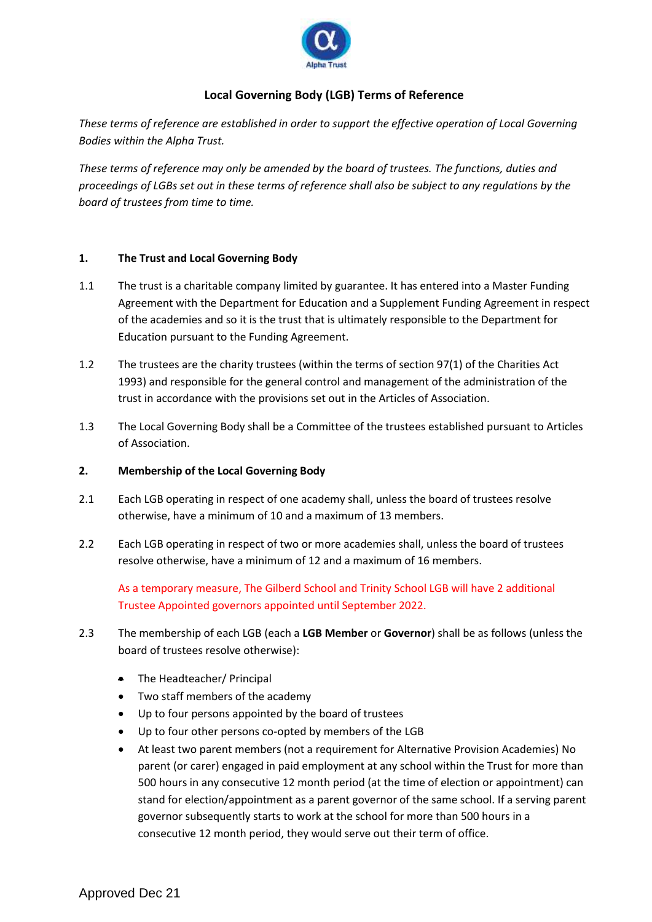

# **Local Governing Body (LGB) Terms of Reference**

*These terms of reference are established in order to support the effective operation of Local Governing Bodies within the Alpha Trust.* 

*These terms of reference may only be amended by the board of trustees. The functions, duties and proceedings of LGBs set out in these terms of reference shall also be subject to any regulations by the board of trustees from time to time.*

### **1. The Trust and Local Governing Body**

- 1.1 The trust is a charitable company limited by guarantee. It has entered into a Master Funding Agreement with the Department for Education and a Supplement Funding Agreement in respect of the academies and so it is the trust that is ultimately responsible to the Department for Education pursuant to the Funding Agreement.
- 1.2 The trustees are the charity trustees (within the terms of section 97(1) of the Charities Act 1993) and responsible for the general control and management of the administration of the trust in accordance with the provisions set out in the Articles of Association.
- 1.3 The Local Governing Body shall be a Committee of the trustees established pursuant to Articles of Association.

#### **2. Membership of the Local Governing Body**

- 2.1 Each LGB operating in respect of one academy shall, unless the board of trustees resolve otherwise, have a minimum of 10 and a maximum of 13 members.
- 2.2 Each LGB operating in respect of two or more academies shall, unless the board of trustees resolve otherwise, have a minimum of 12 and a maximum of 16 members.

As a temporary measure, The Gilberd School and Trinity School LGB will have 2 additional Trustee Appointed governors appointed until September 2022.

- 2.3 The membership of each LGB (each a **LGB Member** or **Governor**) shall be as follows (unless the board of trustees resolve otherwise):
	- The Headteacher/ Principal
	- Two staff members of the academy
	- Up to four persons appointed by the board of trustees
	- Up to four other persons co-opted by members of the LGB
	- At least two parent members (not a requirement for Alternative Provision Academies) No parent (or carer) engaged in paid employment at any school within the Trust for more than 500 hours in any consecutive 12 month period (at the time of election or appointment) can stand for election/appointment as a parent governor of the same school. If a serving parent governor subsequently starts to work at the school for more than 500 hours in a consecutive 12 month period, they would serve out their term of office.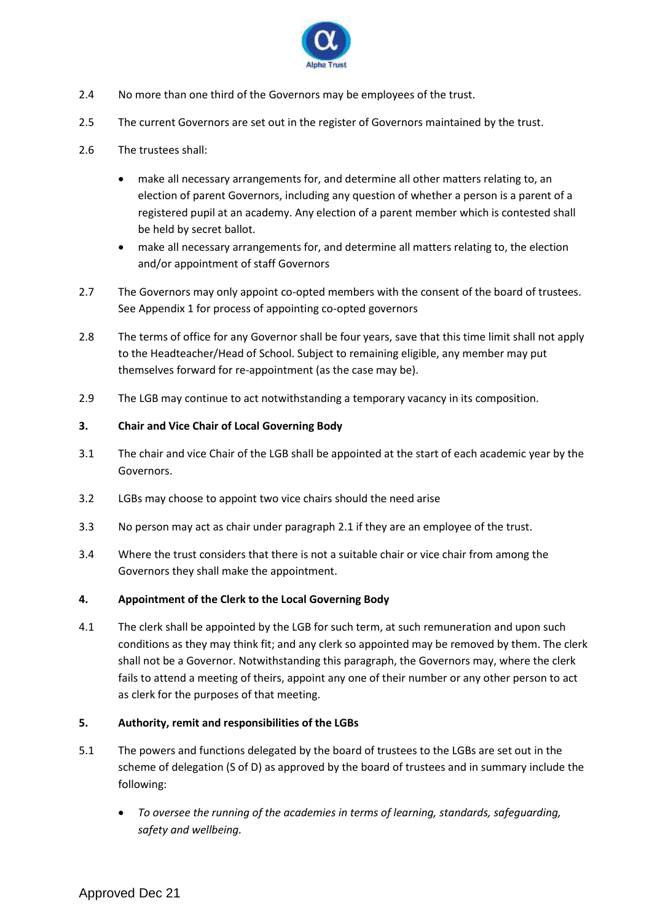

- 2.4 No more than one third of the Governors may be employees of the trust.
- 2.5 The current Governors are set out in the register of Governors maintained by the trust.
- 2.6 The trustees shall:
	- make all necessary arrangements for, and determine all other matters relating to, an election of parent Governors, including any question of whether a person is a parent of a registered pupil at an academy. Any election of a parent member which is contested shall be held by secret ballot.
	- make all necessary arrangements for, and determine all matters relating to, the election and/or appointment of staff Governors
- 2.7 The Governors may only appoint co-opted members with the consent of the board of trustees. See Appendix 1 for process of appointing co-opted governors
- 2.8 The terms of office for any Governor shall be four years, save that this time limit shall not apply to the Headteacher/Head of School. Subject to remaining eligible, any member may put themselves forward for re-appointment (as the case may be).
- 2.9 The LGB may continue to act notwithstanding a temporary vacancy in its composition.

# **3. Chair and Vice Chair of Local Governing Body**

- 3.1 The chair and vice Chair of the LGB shall be appointed at the start of each academic year by the Governors.
- 3.2 LGBs may choose to appoint two vice chairs should the need arise
- 3.3 No person may act as chair under paragraph 2.1 if they are an employee of the trust.
- 3.4 Where the trust considers that there is not a suitable chair or vice chair from among the Governors they shall make the appointment.

# **4. Appointment of the Clerk to the Local Governing Body**

4.1 The clerk shall be appointed by the LGB for such term, at such remuneration and upon such conditions as they may think fit; and any clerk so appointed may be removed by them. The clerk shall not be a Governor. Notwithstanding this paragraph, the Governors may, where the clerk fails to attend a meeting of theirs, appoint any one of their number or any other person to act as clerk for the purposes of that meeting.

# **5. Authority, remit and responsibilities of the LGBs**

- 5.1 The powers and functions delegated by the board of trustees to the LGBs are set out in the scheme of delegation (S of D) as approved by the board of trustees and in summary include the following:
	- *To oversee the running of the academies in terms of learning, standards, safeguarding, safety and wellbeing.*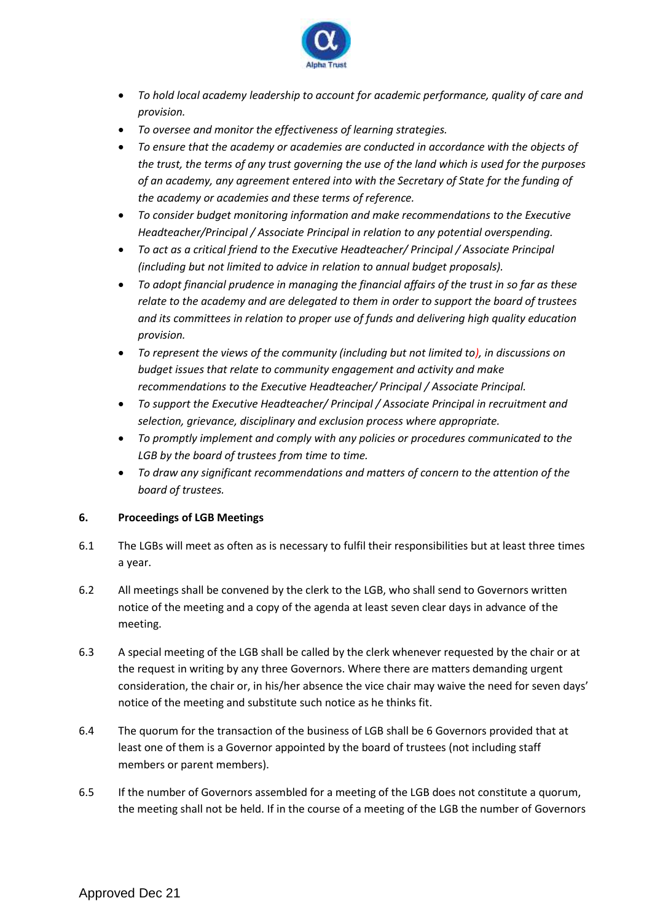

- *To hold local academy leadership to account for academic performance, quality of care and provision.*
- *To oversee and monitor the effectiveness of learning strategies.*
- *To ensure that the academy or academies are conducted in accordance with the objects of the trust, the terms of any trust governing the use of the land which is used for the purposes of an academy, any agreement entered into with the Secretary of State for the funding of the academy or academies and these terms of reference.*
- *To consider budget monitoring information and make recommendations to the Executive Headteacher/Principal / Associate Principal in relation to any potential overspending.*
- *To act as a critical friend to the Executive Headteacher/ Principal / Associate Principal (including but not limited to advice in relation to annual budget proposals).*
- *To adopt financial prudence in managing the financial affairs of the trust in so far as these relate to the academy and are delegated to them in order to support the board of trustees and its committees in relation to proper use of funds and delivering high quality education provision.*
- *To represent the views of the community (including but not limited to), in discussions on budget issues that relate to community engagement and activity and make recommendations to the Executive Headteacher/ Principal / Associate Principal.*
- *To support the Executive Headteacher/ Principal / Associate Principal in recruitment and selection, grievance, disciplinary and exclusion process where appropriate.*
- *To promptly implement and comply with any policies or procedures communicated to the LGB by the board of trustees from time to time.*
- *To draw any significant recommendations and matters of concern to the attention of the board of trustees.*

# **6. Proceedings of LGB Meetings**

- 6.1 The LGBs will meet as often as is necessary to fulfil their responsibilities but at least three times a year.
- 6.2 All meetings shall be convened by the clerk to the LGB, who shall send to Governors written notice of the meeting and a copy of the agenda at least seven clear days in advance of the meeting.
- 6.3 A special meeting of the LGB shall be called by the clerk whenever requested by the chair or at the request in writing by any three Governors. Where there are matters demanding urgent consideration, the chair or, in his/her absence the vice chair may waive the need for seven days' notice of the meeting and substitute such notice as he thinks fit.
- 6.4 The quorum for the transaction of the business of LGB shall be 6 Governors provided that at least one of them is a Governor appointed by the board of trustees (not including staff members or parent members).
- 6.5 If the number of Governors assembled for a meeting of the LGB does not constitute a quorum, the meeting shall not be held. If in the course of a meeting of the LGB the number of Governors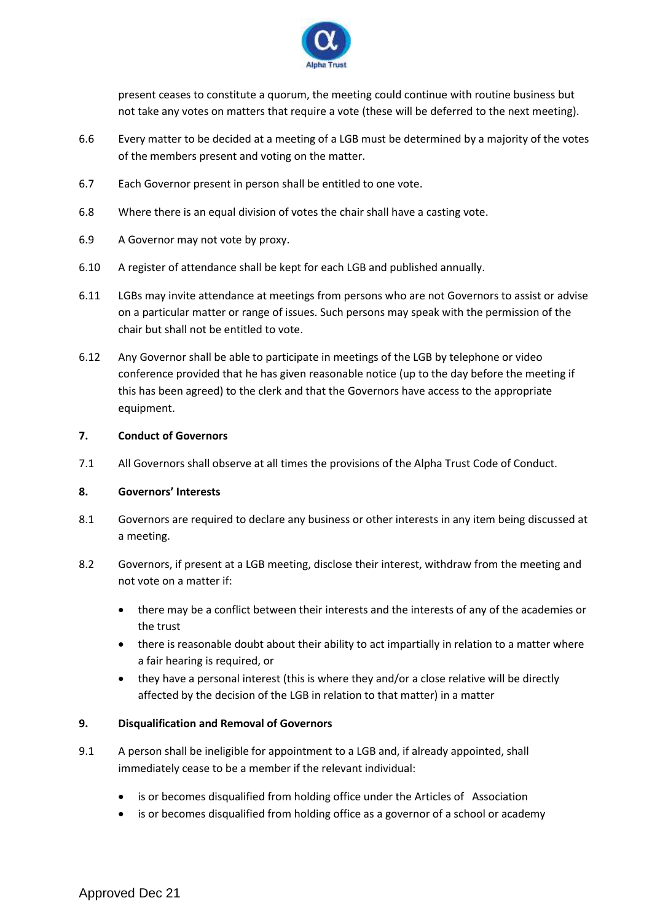

present ceases to constitute a quorum, the meeting could continue with routine business but not take any votes on matters that require a vote (these will be deferred to the next meeting).

- 6.6 Every matter to be decided at a meeting of a LGB must be determined by a majority of the votes of the members present and voting on the matter.
- 6.7 Each Governor present in person shall be entitled to one vote.
- 6.8 Where there is an equal division of votes the chair shall have a casting vote.
- 6.9 A Governor may not vote by proxy.
- 6.10 A register of attendance shall be kept for each LGB and published annually.
- 6.11 LGBs may invite attendance at meetings from persons who are not Governors to assist or advise on a particular matter or range of issues. Such persons may speak with the permission of the chair but shall not be entitled to vote.
- 6.12 Any Governor shall be able to participate in meetings of the LGB by telephone or video conference provided that he has given reasonable notice (up to the day before the meeting if this has been agreed) to the clerk and that the Governors have access to the appropriate equipment.

#### **7. Conduct of Governors**

7.1 All Governors shall observe at all times the provisions of the Alpha Trust Code of Conduct.

#### **8. Governors' Interests**

- 8.1 Governors are required to declare any business or other interests in any item being discussed at a meeting.
- 8.2 Governors, if present at a LGB meeting, disclose their interest, withdraw from the meeting and not vote on a matter if:
	- there may be a conflict between their interests and the interests of any of the academies or the trust
	- there is reasonable doubt about their ability to act impartially in relation to a matter where a fair hearing is required, or
	- they have a personal interest (this is where they and/or a close relative will be directly affected by the decision of the LGB in relation to that matter) in a matter

#### **9. Disqualification and Removal of Governors**

- 9.1 A person shall be ineligible for appointment to a LGB and, if already appointed, shall immediately cease to be a member if the relevant individual:
	- is or becomes disqualified from holding office under the Articles of Association
	- is or becomes disqualified from holding office as a governor of a school or academy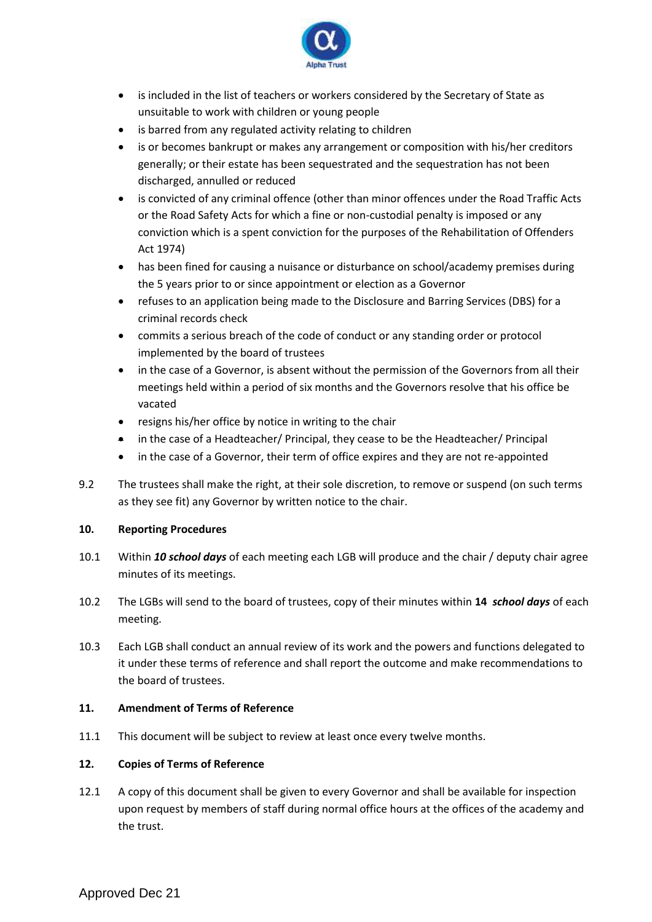

- is included in the list of teachers or workers considered by the Secretary of State as unsuitable to work with children or young people
- is barred from any regulated activity relating to children
- is or becomes bankrupt or makes any arrangement or composition with his/her creditors generally; or their estate has been sequestrated and the sequestration has not been discharged, annulled or reduced
- is convicted of any criminal offence (other than minor offences under the Road Traffic Acts or the Road Safety Acts for which a fine or non-custodial penalty is imposed or any conviction which is a spent conviction for the purposes of the Rehabilitation of Offenders Act 1974)
- has been fined for causing a nuisance or disturbance on school/academy premises during the 5 years prior to or since appointment or election as a Governor
- refuses to an application being made to the Disclosure and Barring Services (DBS) for a criminal records check
- commits a serious breach of the code of conduct or any standing order or protocol implemented by the board of trustees
- in the case of a Governor, is absent without the permission of the Governors from all their meetings held within a period of six months and the Governors resolve that his office be vacated
- resigns his/her office by notice in writing to the chair
- in the case of a Headteacher/ Principal, they cease to be the Headteacher/ Principal
- in the case of a Governor, their term of office expires and they are not re-appointed
- 9.2 The trustees shall make the right, at their sole discretion, to remove or suspend (on such terms as they see fit) any Governor by written notice to the chair.

# **10. Reporting Procedures**

- 10.1 Within *10 school days* of each meeting each LGB will produce and the chair / deputy chair agree minutes of its meetings.
- 10.2 The LGBs will send to the board of trustees, copy of their minutes within **14** *school days* of each meeting.
- 10.3 Each LGB shall conduct an annual review of its work and the powers and functions delegated to it under these terms of reference and shall report the outcome and make recommendations to the board of trustees.

# **11. Amendment of Terms of Reference**

11.1 This document will be subject to review at least once every twelve months.

# **12. Copies of Terms of Reference**

12.1 A copy of this document shall be given to every Governor and shall be available for inspection upon request by members of staff during normal office hours at the offices of the academy and the trust.